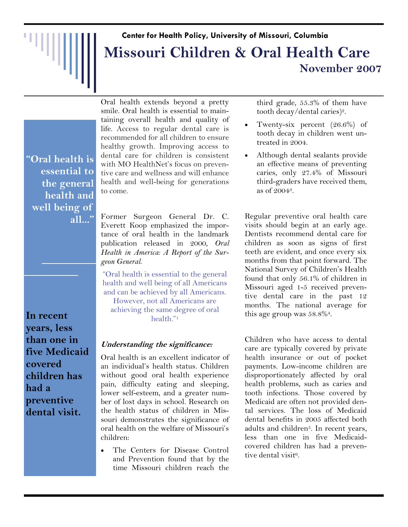# **Center for Health Policy, University of Missouri, Columbia Missouri Children & Oral Health Care November 2007**

**"Oral health is essential to the general health and well being of all..."**

**In recent years, less than one in five Medicaid covered children has had a preventive dental visit.**

Oral health extends beyond a pretty smile. Oral health is essential to maintaining overall health and quality of life. Access to regular dental care is recommended for all children to ensure healthy growth. Improving access to dental care for children is consistent with MO HealthNet's focus on preventive care and wellness and will enhance health and well-being for generations to come.

Former Surgeon General Dr. C. Everett Koop emphasized the importance of oral health in the landmark publication released in 2000, *Oral Health in America: A Report of the Surgeon General*.

"Oral health is essential to the general health and well being of all Americans and can be achieved by all Americans.

However, not all Americans are achieving the same degree of oral health."1

## **Understanding the significance:**

Oral health is an excellent indicator of an individual's health status. Children without good oral health experience pain, difficulty eating and sleeping, lower self-esteem, and a greater number of lost days in school. Research on the health status of children in Missouri demonstrates the significance of oral health on the welfare of Missouri's children:

• The Centers for Disease Control and Prevention found that by the time Missouri children reach the third grade, 55.3% of them have tooth decay/dental caries)2.

- Twenty-six percent (26.6%) of tooth decay in children went untreated in 2004.
- Although dental sealants provide an effective means of preventing caries, only 27.4% of Missouri third-graders have received them, as of 20043.

Regular preventive oral health care visits should begin at an early age. Dentists recommend dental care for children as soon as signs of first teeth are evident, and once every six months from that point forward. The National Survey of Children's Health found that only 56.1% of children in Missouri aged 1-5 received preventive dental care in the past 12 months. The national average for this age group was 58.8%4.

Children who have access to dental care are typically covered by private health insurance or out of pocket payments. Low-income children are disproportionately affected by oral health problems, such as caries and tooth infections. Those covered by Medicaid are often not provided dental services. The loss of Medicaid dental benefits in 2005 affected both adults and children<sup>5</sup>. In recent years, less than one in five Medicaidcovered children has had a preventive dental visit6.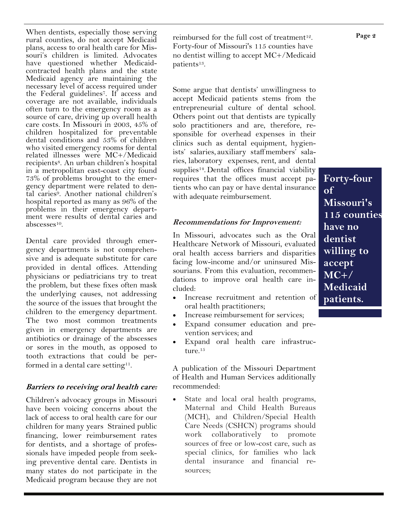When dentists, especially those serving rural counties, do not accept Medicaid plans, access to oral health care for Missouri's children is limited. Advocates have questioned whether Medicaidcontracted health plans and the state Medicaid agency are maintaining the necessary level of access required under the Federal guidelines7. If access and coverage are not available, individuals often turn to the emergency room as a source of care, driving up overall health care costs. In Missouri in 2003, 45% of children hospitalized for preventable dental conditions and  $53\%$  of children who visited emergency rooms for dental related illnesses were MC+/Medicaid recipients<sup>8</sup>. An urban children's hospital in a metropolitan east-coast city found 73% of problems brought to the emergency department were related to dental caries<sup>9</sup>. Another national children's hospital reported as many as 96% of the problems in their emergency department were results of dental caries and abscesses10.

Dental care provided through emergency departments is not comprehensive and is adequate substitute for care provided in dental offices. Attending physicians or pediatricians try to treat the problem, but these fixes often mask the underlying causes, not addressing the source of the issues that brought the children to the emergency department. The two most common treatments given in emergency departments are antibiotics or drainage of the abscesses or sores in the mouth, as opposed to tooth extractions that could be performed in a dental care setting<sup>11</sup>.

### **Barriers to receiving oral health care:**

Children's advocacy groups in Missouri have been voicing concerns about the lack of access to oral health care for our children for many years Strained public financing, lower reimbursement rates for dentists, and a shortage of professionals have impeded people from seeking preventive dental care. Dentists in many states do not participate in the Medicaid program because they are not reimbursed for the full cost of treatment<sup>12</sup>. Forty-four of Missouri's 115 counties have no dentist willing to accept MC+/Medicaid patients13.

Some argue that dentists' unwillingness to accept Medicaid patients stems from the entrepreneurial culture of dental school. Others point out that dentists are typically solo practitioners and are, therefore, responsible for overhead expenses in their clinics such as dental equipment, hygienists' salaries, auxiliary staffmembers' salaries, laboratory expenses, rent, and dental supplies14. Dental offices financial viability requires that the offices must accept patients who can pay or have dental insurance with adequate reimbursement.

#### **Recommendations for Improvement:**

In Missouri, advocates such as the Oral Healthcare Network of Missouri, evaluated oral health access barriers and disparities facing low-income and/or uninsured Missourians. From this evaluation, recommendations to improve oral health care included:

- Increase recruitment and retention of oral health practitioners;
- Increase reimbursement for services;
- Expand consumer education and prevention services; and
- Expand oral health care infrastructure.<sup>15</sup>

A publication of the Missouri Department of Health and Human Services additionally recommended:

State and local oral health programs, Maternal and Child Health Bureaus (MCH), and Children/Special Health Care Needs (CSHCN) programs should work collaboratively to promote sources of free or low-cost care, such as special clinics, for families who lack dental insurance and financial resources;

**Forty-four of Missouri's 115 counties have no dentist willing to accept MC+/ Medicaid patients.**